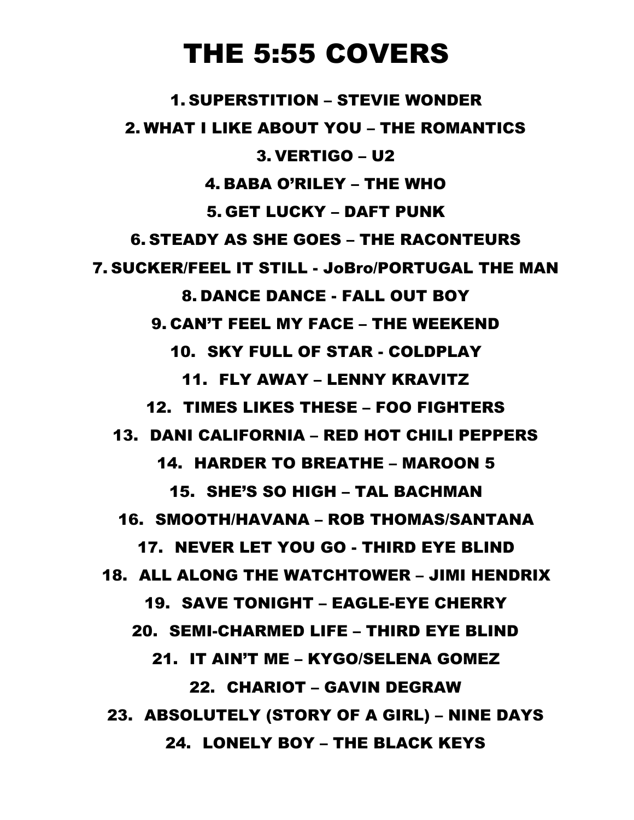# THE 5:55 COVERS

1. SUPERSTITION – STEVIE WONDER 2. WHAT I LIKE ABOUT YOU – THE ROMANTICS 3. VERTIGO – U2 4. BABA O'RILEY – THE WHO 5. GET LUCKY – DAFT PUNK 6. STEADY AS SHE GOES – THE RACONTEURS 7. SUCKER/FEEL IT STILL - JoBro/PORTUGAL THE MAN 8. DANCE DANCE - FALL OUT BOY 9. CAN'T FEEL MY FACE – THE WEEKEND 10. SKY FULL OF STAR - COLDPLAY 11. FLY AWAY – LENNY KRAVITZ 12. TIMES LIKES THESE – FOO FIGHTERS 13. DANI CALIFORNIA – RED HOT CHILI PEPPERS 14. HARDER TO BREATHE – MAROON 5 15. SHE'S SO HIGH – TAL BACHMAN 16. SMOOTH/HAVANA – ROB THOMAS/SANTANA 17. NEVER LET YOU GO - THIRD EYE BLIND 18. ALL ALONG THE WATCHTOWER – JIMI HENDRIX 19. SAVE TONIGHT – EAGLE-EYE CHERRY 20. SEMI-CHARMED LIFE – THIRD EYE BLIND 21. IT AIN'T ME – KYGO/SELENA GOMEZ 22. CHARIOT – GAVIN DEGRAW 23. ABSOLUTELY (STORY OF A GIRL) – NINE DAYS 24. LONELY BOY – THE BLACK KEYS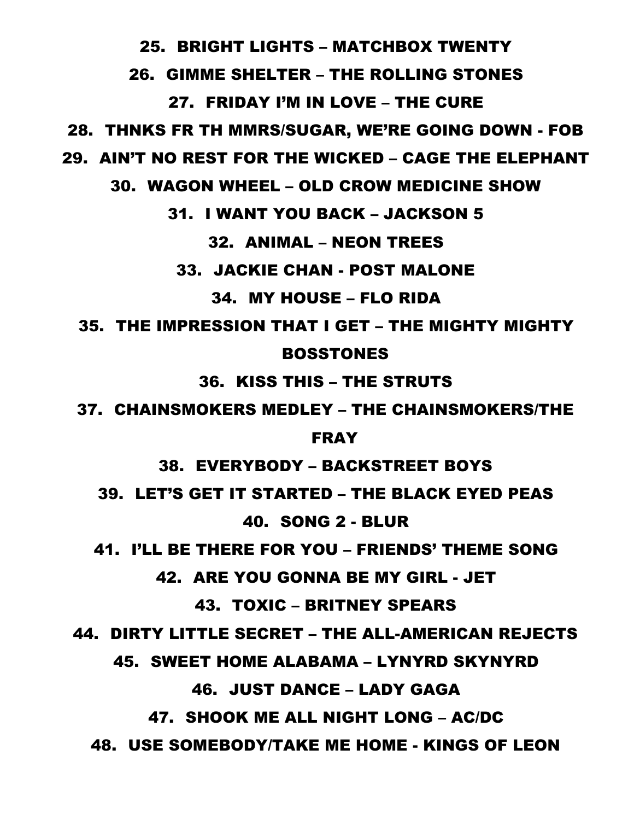25. BRIGHT LIGHTS – MATCHBOX TWENTY

### 26. GIMME SHELTER – THE ROLLING STONES

### 27. FRIDAY I'M IN LOVE – THE CURE

28. THNKS FR TH MMRS/SUGAR, WE'RE GOING DOWN - FOB

29. AIN'T NO REST FOR THE WICKED – CAGE THE ELEPHANT

30. WAGON WHEEL – OLD CROW MEDICINE SHOW

31. I WANT YOU BACK – JACKSON 5

### 32. ANIMAL – NEON TREES

33. JACKIE CHAN - POST MALONE

### 34. MY HOUSE – FLO RIDA

# 35. THE IMPRESSION THAT I GET – THE MIGHTY MIGHTY BOSSTONES

36. KISS THIS – THE STRUTS

37. CHAINSMOKERS MEDLEY – THE CHAINSMOKERS/THE

#### FRAY

38. EVERYBODY – BACKSTREET BOYS

39. LET'S GET IT STARTED – THE BLACK EYED PEAS

### 40. SONG 2 - BLUR

41. I'LL BE THERE FOR YOU – FRIENDS' THEME SONG

42. ARE YOU GONNA BE MY GIRL - JET

43. TOXIC – BRITNEY SPEARS

44. DIRTY LITTLE SECRET – THE ALL-AMERICAN REJECTS

45. SWEET HOME ALABAMA – LYNYRD SKYNYRD

## 46. JUST DANCE – LADY GAGA

## 47. SHOOK ME ALL NIGHT LONG – AC/DC

48. USE SOMEBODY/TAKE ME HOME - KINGS OF LEON